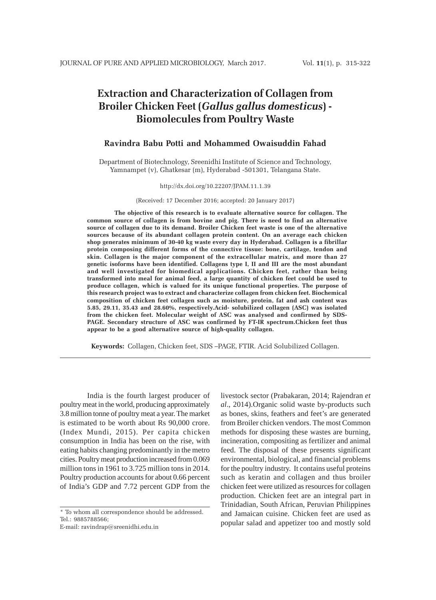# **Extraction and Characterization of Collagen from Broiler Chicken Feet (***Gallus gallus domesticus***) - Biomolecules from Poultry Waste**

# **Ravindra Babu Potti and Mohammed Owaisuddin Fahad**

Department of Biotechnology, Sreenidhi Institute of Science and Technology, Yamnampet (v), Ghatkesar (m), Hyderabad -501301, Telangana State.

#### http://dx.doi.org/10.22207/JPAM.11.1.39

#### (Received: 17 December 2016; accepted: 20 January 2017)

**The objective of this research is to evaluate alternative source for collagen. The common source of collagen is from bovine and pig. There is need to find an alternative source of collagen due to its demand. Broiler Chicken feet waste is one of the alternative sources because of its abundant collagen protein content. On an average each chicken shop generates minimum of 30-40 kg waste every day in Hyderabad. Collagen is a fibrillar protein composing different forms of the connective tissue: bone, cartilage, tendon and skin. Collagen is the major component of the extracellular matrix, and more than 27 genetic isoforms have been identified. Collagens type I, II and III are the most abundant and well investigated for biomedical applications. Chicken feet, rather than being transformed into meal for animal feed, a large quantity of chicken feet could be used to produce collagen, which is valued for its unique functional properties. The purpose of this research project was to extract and characterize collagen from chicken feet. Biochemical composition of chicken feet collagen such as moisture, protein, fat and ash content was 5.85, 29.11, 35.43 and 28.60%, respectively.Acid- solubilized collagen (ASC) was isolated from the chicken feet. Molecular weight of ASC was analysed and confirmed by SDS-PAGE. Secondary structure of ASC was confirmed by FT-IR spectrum.Chicken feet thus appear to be a good alternative source of high-quality collagen.**

**Keywords:** Collagen, Chicken feet, SDS –PAGE, FTIR. Acid Solubilized Collagen.

India is the fourth largest producer of poultry meat in the world, producing approximately 3.8 million tonne of poultry meat a year. The market is estimated to be worth about Rs 90,000 crore. (Index Mundi, 2015). Per capita chicken consumption in India has been on the rise, with eating habits changing predominantly in the metro cities. Poultry meat production increased from 0.069 million tons in 1961 to 3.725 million tons in 2014. Poultry production accounts for about 0.66 percent of India's GDP and 7.72 percent GDP from the

E-mail: ravindrap@sreenidhi.edu.in

livestock sector (Prabakaran, 2014; Rajendran *et al*., 2014).Organic solid waste by-products such as bones, skins, feathers and feet's are generated from Broiler chicken vendors. The most Common methods for disposing these wastes are burning, incineration, compositing as fertilizer and animal feed. The disposal of these presents significant environmental, biological, and financial problems for the poultry industry. It contains useful proteins such as keratin and collagen and thus broiler chicken feet were utilized as resources for collagen production. Chicken feet are an integral part in Trinidadian, South African, Peruvian Philippines and Jamaican cuisine. Chicken feet are used as popular salad and appetizer too and mostly sold

<sup>\*</sup> To whom all correspondence should be addressed. Tel.: 9885788566;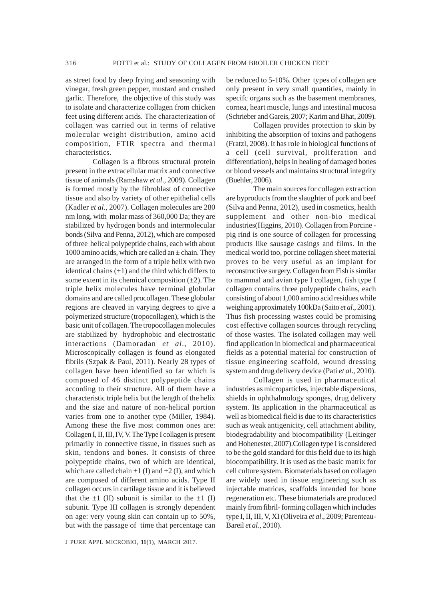as street food by deep frying and seasoning with vinegar, fresh green pepper, mustard and crushed garlic. Therefore, the objective of this study was to isolate and characterize collagen from chicken feet using different acids. The characterization of collagen was carried out in terms of relative molecular weight distribution, amino acid composition, FTIR spectra and thermal characteristics.

Collagen is a fibrous structural protein present in the extracellular matrix and connective tissue of animals (Ramshaw *et al*., 2009). Collagen is formed mostly by the fibroblast of connective tissue and also by variety of other epithelial cells (Kadler *et al*., 2007). Collagen molecules are 280 nm long, with molar mass of 360,000 Da; they are stabilized by hydrogen bonds and intermolecular bonds (Silva and Penna, 2012), which are composed of three helical polypeptide chains, each with about 1000 amino acids, which are called an  $\pm$  chain. They are arranged in the form of a triple helix with two identical chains  $(\pm 1)$  and the third which differs to some extent in its chemical composition  $(\pm 2)$ . The triple helix molecules have terminal globular domains and are called procollagen. These globular regions are cleaved in varying degrees to give a polymerized structure (tropocollagen), which is the basic unit of collagen. The tropocollagen molecules are stabilized by hydrophobic and electrostatic interactions (Damoradan *et al*., 2010). Microscopically collagen is found as elongated fibrils (Szpak & Paul, 2011). Nearly 28 types of collagen have been identified so far which is composed of 46 distinct polypeptide chains according to their structure. All of them have a characteristic triple helix but the length of the helix and the size and nature of non-helical portion varies from one to another type (Miller, 1984). Among these the five most common ones are: Collagen I, II, III, IV, V. The Type I collagen is present primarily in connective tissue, in tissues such as skin, tendons and bones. It consists of three polypeptide chains, two of which are identical, which are called chain  $\pm 1$  (I) and  $\pm 2$  (I), and which are composed of different amino acids. Type II collagen occurs in cartilage tissue and it is believed that the  $\pm 1$  (II) subunit is similar to the  $\pm 1$  (I) subunit. Type III collagen is strongly dependent on age: very young skin can contain up to 50%, but with the passage of time that percentage can

J PURE APPL MICROBIO*,* **11**(1), MARCH 2017.

be reduced to 5-10%. Other types of collagen are only present in very small quantities, mainly in specifc organs such as the basement membranes, cornea, heart muscle, lungs and intestinal mucosa (Schrieber and Gareis, 2007; Karim and Bhat, 2009).

Collagen provides protection to skin by inhibiting the absorption of toxins and pathogens (Fratzl, 2008). It has role in biological functions of a cell (cell survival, proliferation and differentiation), helps in healing of damaged bones or blood vessels and maintains structural integrity (Buehler, 2006).

The main sources for collagen extraction are byproducts from the slaughter of pork and beef (Silva and Penna, 2012), used in cosmetics, health supplement and other non-bio medical industries(Higgins, 2010). Collagen from Porcine pig rind is one source of collagen for processing products like sausage casings and films. In the medical world too, porcine collagen sheet material proves to be very useful as an implant for reconstructive surgery. Collagen from Fish is similar to mammal and avian type I collagen, fish type I collagen contains three polypeptide chains, each consisting of about 1,000 amino acid residues while weighing approximately 100kDa (Saito *et al*., 2001). Thus fish processing wastes could be promising cost effective collagen sources through recycling of those wastes. The isolated collagen may well find application in biomedical and pharmaceutical fields as a potential material for construction of tissue engineering scaffold, wound dressing system and drug delivery device (Pati *et al*., 2010).

Collagen is used in pharmaceutical industries as microparticles, injectable dispersions, shields in ophthalmology sponges, drug delivery system. Its application in the pharmaceutical as well as biomedical field is due to its characteristics such as weak antigenicity, cell attachment ability, biodegradability and biocompatibility (Leitinger and Hohenester, 2007).Collagen type I is considered to be the gold standard for this field due to its high biocompatibility. It is used as the basic matrix for cell culture system. Biomaterials based on collagen are widely used in tissue engineering such as injectable matrices, scaffolds intended for bone regeneration etc. These biomaterials are produced mainly from fibril- forming collagen which includes type I, II, III, V, XI (Oliveira *et al*., 2009; Parenteau-Bareil *et al*., 2010).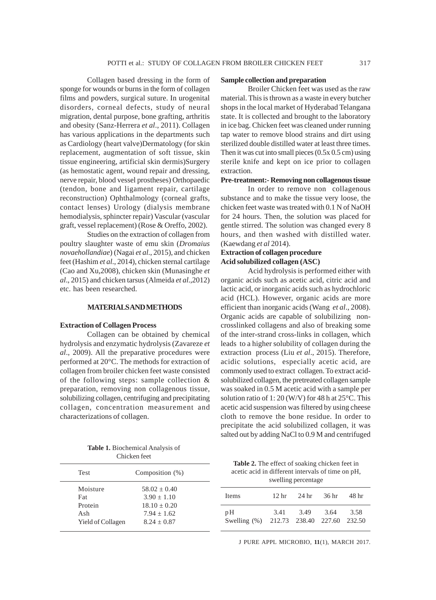Collagen based dressing in the form of sponge for wounds or burns in the form of collagen films and powders, surgical suture. In urogenital disorders, corneal defects, study of neural migration, dental purpose, bone grafting, arthritis and obesity (Sanz-Herrera *et al*., 2011). Collagen has various applications in the departments such as Cardiology (heart valve)Dermatology (for skin replacement, augmentation of soft tissue, skin tissue engineering, artificial skin dermis)Surgery (as hemostatic agent, wound repair and dressing, nerve repair, blood vessel prostheses) Orthopaedic (tendon, bone and ligament repair, cartilage reconstruction) Ophthalmology (corneal grafts, contact lenses) Urology (dialysis membrane hemodialysis, sphincter repair) Vascular (vascular graft, vessel replacement) (Rose & Oreffo, 2002).

Studies on the extraction of collagen from poultry slaughter waste of emu skin (*Dromaius novaehollandiae*) (Nagai *et al*., 2015), and chicken feet (Hashim *et al*., 2014), chicken sternal cartilage (Cao and Xu,2008), chicken skin (Munasinghe *et al*., 2015) and chicken tarsus (Almeida *et al*.,2012) etc. has been researched.

### **MATERIALS AND METHODS**

### **Extraction of Collagen Process**

Collagen can be obtained by chemical hydrolysis and enzymatic hydrolysis (Zavareze *et al*., 2009). All the preparative procedures were performed at 20°C. The methods for extraction of collagen from broiler chicken feet waste consisted of the following steps: sample collection & preparation, removing non collagenous tissue, solubilizing collagen, centrifuging and precipitating collagen, concentration measurement and characterizations of collagen.

**Table 1.** Biochemical Analysis of Chicken feet

| <b>Test</b>       | Composition $(\%)$ |  |  |
|-------------------|--------------------|--|--|
| Moisture          | $58.02 + 0.40$     |  |  |
| Fat               | $3.90 + 1.10$      |  |  |
| Protein           | $18.10 + 0.20$     |  |  |
| A sh              | $7.94 + 1.62$      |  |  |
| Yield of Collagen | $8.24 + 0.87$      |  |  |

### **Sample collection and preparation**

Broiler Chicken feet was used as the raw material. This is thrown as a waste in every butcher shops in the local market of Hyderabad Telangana state. It is collected and brought to the laboratory in ice bag. Chicken feet was cleaned under running tap water to remove blood strains and dirt using sterilized double distilled water at least three times. Then it was cut into small pieces  $(0.5x 0.5 \text{ cm})$  using sterile knife and kept on ice prior to collagen extraction.

### **Pre-treatment:- Removing non collagenous tissue**

In order to remove non collagenous substance and to make the tissue very loose, the chicken feet waste was treated with 0.1 N of NaOH for 24 hours. Then, the solution was placed for gentle stirred. The solution was changed every 8 hours, and then washed with distilled water. (Kaewdang *et al* 2014).

### **Extraction of collagen procedure Acid solubilized collagen (ASC)**

Acid hydrolysis is performed either with organic acids such as acetic acid, citric acid and lactic acid, or inorganic acids such as hydrochloric acid (HCL). However, organic acids are more efficient than inorganic acids (Wang *et al*., 2008). Organic acids are capable of solubilizing noncrosslinked collagens and also of breaking some of the inter-strand cross-links in collagen, which leads to a higher solubility of collagen during the extraction process (Liu *et al*., 2015). Therefore, acidic solutions, especially acetic acid, are commonly used to extract collagen. To extract acidsolubilized collagen, the pretreated collagen sample was soaked in 0.5 M acetic acid with a sample per solution ratio of 1: 20 (W/V) for 48 h at 25°C. This acetic acid suspension was filtered by using cheese cloth to remove the bone residue. In order to precipitate the acid solubilized collagen, it was salted out by adding NaCl to 0.9 M and centrifuged

**Table 2.** The effect of soaking chicken feet in acetic acid in different intervals of time on pH, swelling percentage

| Items                                          | 12 <sub>hr</sub> | - 24 hr | 36 hr | -48 hr |  |  |
|------------------------------------------------|------------------|---------|-------|--------|--|--|
| pH<br>Swelling (%) 212.73 238.40 227.60 232.50 | 3.41             | 3.49    | 3.64  | 3.58   |  |  |

J PURE APPL MICROBIO*,* **11**(1), MARCH 2017.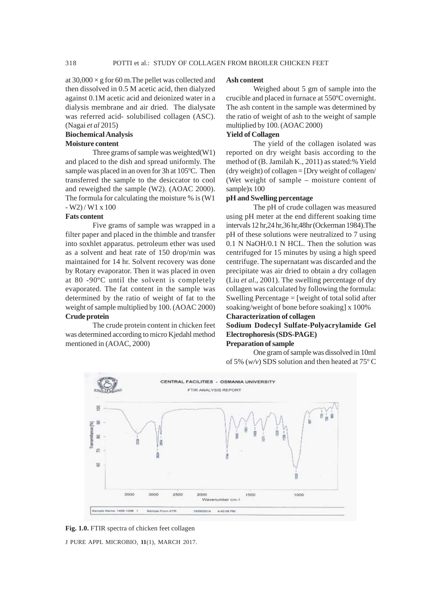at  $30,000 \times g$  for 60 m. The pellet was collected and then dissolved in 0.5 M acetic acid, then dialyzed against 0.1M acetic acid and deionized water in a dialysis membrane and air dried. The dialysate was referred acid- solubilised collagen (ASC). (Nagai *et al* 2015)

### **Biochemical Analysis Moisture content**

Three grams of sample was weighted(W1) and placed to the dish and spread uniformly. The sample was placed in an oven for 3h at 105ºC. Then transferred the sample to the desiccator to cool and reweighed the sample (W2). (AOAC 2000). The formula for calculating the moisture % is (W1  $-W2$ ) / W1 x 100

### **Fats content**

Five grams of sample was wrapped in a filter paper and placed in the thimble and transfer into soxhlet apparatus. petroleum ether was used as a solvent and heat rate of 150 drop/min was maintained for 14 hr. Solvent recovery was done by Rotary evaporator. Then it was placed in oven at 80 -90ºC until the solvent is completely evaporated. The fat content in the sample was determined by the ratio of weight of fat to the weight of sample multiplied by 100. (AOAC 2000) **Crude protein**

The crude protein content in chicken feet was determined according to micro Kjedahl method mentioned in (AOAC, 2000)

### **Ash content**

Weighed about 5 gm of sample into the crucible and placed in furnace at 550ºC overnight. The ash content in the sample was determined by the ratio of weight of ash to the weight of sample multiplied by 100. (AOAC 2000)

# **Yield of Collagen**

The yield of the collagen isolated was reported on dry weight basis according to the method of (B. Jamilah K., 2011) as stated:% Yield (dry weight) of collagen = [Dry weight of collagen/ (Wet weight of sample – moisture content of sample)x 100

### **pH and Swelling percentage**

The pH of crude collagen was measured using pH meter at the end different soaking time intervals 12 hr,24 hr,36 hr,48hr (Ockerman 1984).The pH of these solutions were neutralized to 7 using 0.1 N NaOH/0.1 N HCL. Then the solution was centrifuged for 15 minutes by using a high speed centrifuge. The supernatant was discarded and the precipitate was air dried to obtain a dry collagen (Liu *et al*., 2001). The swelling percentage of dry collagen was calculated by following the formula: Swelling Percentage = [weight of total solid after soaking/weight of bone before soaking] x 100%

## **Characterization of collagen Sodium Dodecyl Sulfate-Polyacrylamide Gel Electrophoresis (SDS-PAGE) Preparation of sample**

One gram of sample was dissolved in 10ml of 5% (*w/v*) SDS solution and then heated at 75º C



J PURE APPL MICROBIO*,* **11**(1), MARCH 2017. **Fig. 1.0.** FTIR spectra of chicken feet collagen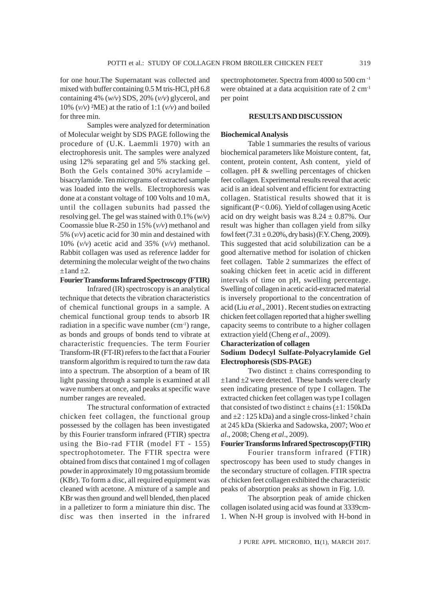for one hour.The Supernatant was collected and mixed with buffer containing 0.5 M tris-HCl, pH 6.8 containing 4% (*w/v*) SDS, 20% (*v/v*) glycerol, and 10%  $(v/v)$  <sup>2</sup>ME) at the ratio of 1:1  $(v/v)$  and boiled for three min.

Samples were analyzed for determination of Molecular weight by SDS PAGE following the procedure of (U.K. Laemmli 1970) with an electrophoresis unit. The samples were analyzed using 12% separating gel and 5% stacking gel. Both the Gels contained 30% acrylamide – bisacrylamide. Ten micrograms of extracted sample was loaded into the wells. Electrophoresis was done at a constant voltage of 100 Volts and 10 mA, until the collagen subunits had passed the resolving gel. The gel was stained with 0.1% (*w/v*) Coomassie blue R-250 in 15% (*v/v*) methanol and 5% (*v/v*) acetic acid for 30 min and destained with 10% (*v/v*) acetic acid and 35% (*v/v*) methanol. Rabbit collagen was used as reference ladder for determining the molecular weight of the two chains  $\pm 1$  and  $\pm 2$ .

### **Fourier Transforms Infrared Spectroscopy (FTIR)**

Infrared (IR) spectroscopy is an analytical technique that detects the vibration characteristics of chemical functional groups in a sample. A chemical functional group tends to absorb IR radiation in a specific wave number (cm<sup>-1</sup>) range, as bonds and groups of bonds tend to vibrate at characteristic frequencies. The term Fourier Transform-IR (FT-IR) refers to the fact that a Fourier transform algorithm is required to turn the raw data into a spectrum. The absorption of a beam of IR light passing through a sample is examined at all wave numbers at once, and peaks at specific wave number ranges are revealed.

The structural conformation of extracted chicken feet collagen, the functional group possessed by the collagen has been investigated by this Fourier transform infrared (FTIR) spectra using the Bio-rad FTIR (model FT - 155) spectrophotometer. The FTIR spectra were obtained from discs that contained 1 mg of collagen powder in approximately 10 mg potassium bromide (KBr). To form a disc, all required equipment was cleaned with acetone. A mixture of a sample and KBr was then ground and well blended, then placed in a palletizer to form a miniature thin disc. The disc was then inserted in the infrared

spectrophotometer. Spectra from 4000 to 500 cm -1 were obtained at a data acquisition rate of 2 cm<sup>-1</sup> per point

### **RESULTS AND DISCUSSION**

### **Biochemical Analysis**

Table 1 summaries the results of various biochemical parameters like Moisture content, fat, content, protein content, Ash content, yield of collagen. pH & swelling percentages of chicken feet collagen. Experimental results reveal that acetic acid is an ideal solvent and efficient for extracting collagen. Statistical results showed that it is significant ( $P < 0.06$ ). Yield of collagen using Acetic acid on dry weight basis was  $8.24 \pm 0.87$ %. Our result was higher than collagen yield from silky fowl feet  $(7.31 \pm 0.20\%$ , dry basis) (F.Y. Cheng, 2009). This suggested that acid solubilization can be a good alternative method for isolation of chicken feet collagen. Table 2 summarizes the effect of soaking chicken feet in acetic acid in different intervals of time on pH, swelling percentage. Swelling of collagen in acetic acid-extracted material is inversely proportional to the concentration of acid (Liu *et al*., 2001) . Recent studies on extracting chicken feet collagen reported that a higher swelling capacity seems to contribute to a higher collagen extraction yield (Cheng *et al*., 2009).

### **Characterization of collagen**

### **Sodium Dodecyl Sulfate-Polyacrylamide Gel Electrophoresis (SDS-PAGE)**

Two distinct  $\pm$  chains corresponding to  $\pm 1$  and  $\pm 2$  were detected. These bands were clearly seen indicating presence of type I collagen. The extracted chicken feet collagen was type I collagen that consisted of two distinct  $\pm$  chains ( $\pm$ 1: 150kDa and  $\pm 2$ : 125 kDa) and a single cross-linked  $2$  chain at 245 kDa (Skierka and Sadowska, 2007; Woo *et al*., 2008; Cheng *et al*., 2009).

### **Fourier Transforms Infrared Spectroscopy(FTIR)**

Fourier transform infrared (FTIR) spectroscopy has been used to study changes in the secondary structure of collagen. FTIR spectra of chicken feet collagen exhibited the characteristic peaks of absorption peaks as shown in Fig. 1.0.

The absorption peak of amide chicken collagen isolated using acid was found at 3339cm-1. When N-H group is involved with H-bond in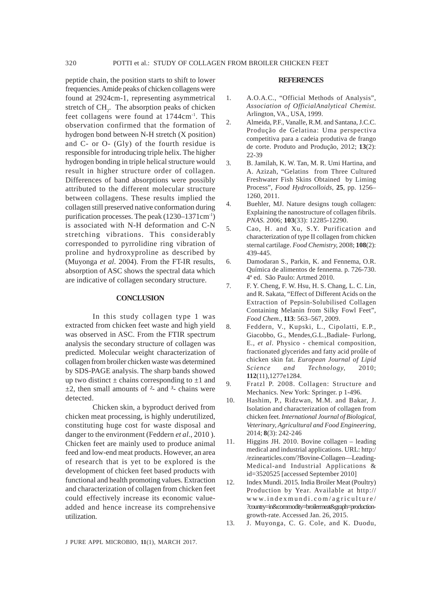peptide chain, the position starts to shift to lower frequencies. Amide peaks of chicken collagens were found at 2924cm-1, representing asymmetrical stretch of  $CH<sub>2</sub>$ . The absorption peaks of chicken feet collagens were found at 1744cm<sup>-1</sup>. This observation confirmed that the formation of hydrogen bond between N-H stretch (X position) and C- or O- (Gly) of the fourth residue is responsible for introducing triple helix. The higher hydrogen bonding in triple helical structure would result in higher structure order of collagen. Differences of band absorptions were possibly attributed to the different molecular structure between collagens. These results implied the collagen still preserved native conformation during purification processes. The peak (1230–1371cm-1) is associated with N-H deformation and C-N stretching vibrations. This considerably corresponded to pyrrolidine ring vibration of proline and hydroxyproline as described by (Muyonga *et al*. 2004). From the FT-IR results, absorption of ASC shows the spectral data which are indicative of collagen secondary structure.

#### **CONCLUSION**

In this study collagen type 1 was extracted from chicken feet waste and high yield was observed in ASC. From the FTIR spectrum analysis the secondary structure of collagen was predicted. Molecular weight characterization of collagen from broiler chicken waste was determined by SDS-PAGE analysis. The sharp bands showed up two distinct *±* chains corresponding to *±*1 and *±*2, then small amounts of *²*- and *³*- chains were detected.

Chicken skin, a byproduct derived from chicken meat processing, is highly underutilized, constituting huge cost for waste disposal and danger to the environment (Feddern *et al*., 2010 ). Chicken feet are mainly used to produce animal feed and low-end meat products. However, an area of research that is yet to be explored is the development of chicken feet based products with functional and health promoting values. Extraction and characterization of collagen from chicken feet could effectively increase its economic valueadded and hence increase its comprehensive utilization.

### **REFERENCES**

- 1. A.O.A.C., "Official Methods of Analysis", *Association of OfficialAnalytical Chemist.* Arlington, VA., USA, 1999.
- 2. Almeida, P.F., Vanalle, R.M. and Santana, J.C.C. Produção de Gelatina: Uma perspectiva competitiva para a cadeia produtiva de frango de corte. Produto and Produção, 2012; **13**(2): 22-39
- 3. B. Jamilah, K. W. Tan, M. R. Umi Hartina, and A. Azizah, "Gelatins from Three Cultured Freshwater Fish Skins Obtained by Liming Process", *Food Hydrocolloids,* **25**, pp. 1256– 1260, 2011.
- 4. Buehler, MJ. Nature designs tough collagen: Explaining the nanostructure of collagen fibrils. *PNAS.* 2006; **103**(33): 12285-12290.
- 5. Cao, H. and Xu, S.Y. Purification and characterization of type II collagen from chicken sternal cartilage. *Food Chemistry,* 2008; **108**(2): 439-445.
- 6. Damodaran S., Parkin, K. and Fennema, O.R. Química de alimentos de fennema. p. 726-730. 4ª ed. São Paulo: Artmed 2010.
- 7. F. Y. Cheng, F. W. Hsu, H. S. Chang, L. C. Lin, and R. Sakata, "Effect of Different Acids on the Extraction of Pepsin-Solubilised Collagen Containing Melanin from Silky Fowl Feet", *Food Chem.*, **113**: 563–567, 2009.
- 8. Feddern, V., Kupski, L., Cipolatti, E.P., Giacobbo, G., Mendes,G.L.,Badiale- Furlong, E., *et al*. Physico - chemical composition, fractionated glycerides and fatty acid proûle of chicken skin fat. *European Journal of Lipid Science and Technology,* 2010; **112**(11),1277e1284.
- 9. Fratzl P. 2008. Collagen: Structure and Mechanics. New York: Springer. p 1-496.
- 10. Hashim, P., Ridzwan, M.M. and Bakar, J. Isolation and characterization of collagen from chicken feet. *International Journal of Biological, Veterinary, Agricultural and Food Engineering,* 2014; **8**(3): 242-246
- 11. Higgins JH. 2010. Bovine collagen leading medical and industrial applications. URL: http:/ /ezinearticles.com/?Bovine-Collagen—Leading-Medical-and Industrial Applications & id=3520525 [accessed September 2010]
- 12. Index Mundi. 2015. India Broiler Meat (Poultry) Production by Year. Available at http:// www.indexmundi.com/agriculture/ ?country=in&commodity=broilermeat&graph=productiongrowth-rate. Accessed Jan. 26, 2015.
- 13. J. Muyonga, C. G. Cole, and K. Duodu,

J PURE APPL MICROBIO*,* **11**(1), MARCH 2017.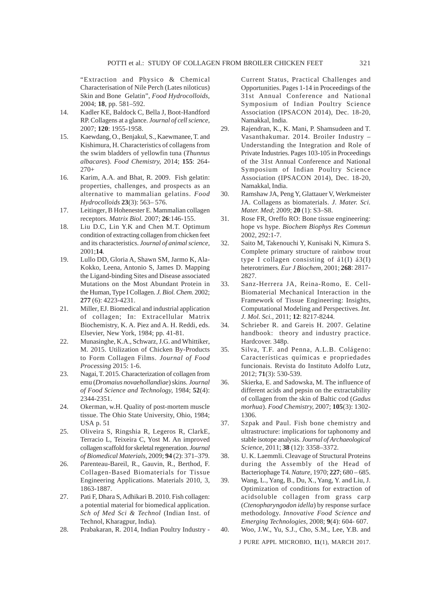"Extraction and Physico & Chemical Characterisation of Nile Perch (Lates niloticus) Skin and Bone Gelatin", *Food Hydrocolloids,* 2004; **18**, pp. 581–592.

- 14. Kadler KE, Baldock C, Bella J, Boot-Handford RP. Collagens at a glance. *Journal of cell science,* 2007; **120**: 1955-1958.
- 15. Kaewdang, O., Benjakul, S., Kaewmanee, T. and Kishimura, H. Characteristics of collagens from the swim bladders of yellowfin tuna (*Thunnus albacares*). *Food Chemistry,* 2014; **155**: 264-  $270+$
- 16. Karim, A.A. and Bhat, R. 2009. Fish gelatin: properties, challenges, and prospects as an alternative to mammalian gelatins. *Food Hydrocolloids* **23**(3): 563– 576.
- 17. Leitinger, B Hohenester E. Mammalian collagen receptors. *Matrix Biol.* 2007; **26**:146-155.
- 18. Liu D.C, Lin Y.K and Chen M.T. Optimum condition of extracting collagen from chicken feet and its characteristics. *Journal of animal science,* 2001;**14**.
- 19. Lullo DD, Gloria A, Shawn SM, Jarmo K, Ala-Kokko, Leena, Antonio S, James D. Mapping the Ligand-binding Sites and Disease associated Mutations on the Most Abundant Protein in the Human, Type I Collagen. *J. Biol. Chem.* 2002; **277** (6): 4223-4231.
- 21. Miller, EJ. Biomedical and industrial application of collagen; In: Extracellular Matrix Biochemistry, K. A. Piez and A. H. Reddi, eds. Elsevier, New York, 1984; pp. 41-81.
- 22. Munasinghe, K.A., Schwarz, J.G. and Whittiker, M. 2015. Utilization of Chicken By-Products to Form Collagen Films. *Journal of Food Processing* 2015: 1-6.
- 23. Nagai, T. 2015. Characterization of collagen from emu (*Dromaius novaehollandiae*) skins. *Journal of Food Science and Technology,* 1984; **52**(4): 2344-2351.
- 24. Okerman, w.H. Quality of post-mortem muscle tissue. The Ohio State University, Ohio, 1984; USA p. 51
- 25. Oliveira S, Ringshia R, Legeros R, ClarkE, Terracio L, Teixeira C, Yost M. An improved collagen scaffold for skeletal regeneration. *Journal of Biomedical Materials,* 2009; **94** (2): 371–379.
- 26. Parenteau-Bareil, R., Gauvin, R., Berthod, F. Collagen-Based Biomaterials for Tissue Engineering Applications. Materials 2010, 3, 1863-1887.
- 27. Pati F, Dhara S, Adhikari B. 2010. Fish collagen: a potential material for biomedical application. *Sch of Med Sci & Technol* (Indian Inst. of Technol, Kharagpur, India).
- 28. Prabakaran, R. 2014, Indian Poultry Industry -

Current Status, Practical Challenges and Opportunities. Pages 1-14 in Proceedings of the 31st Annual Conference and National Symposium of Indian Poultry Science Association (IPSACON 2014), Dec. 18-20, Namakkal, India.

- 29. Rajendran, K., K. Mani, P. Shamsudeen and T. Vasanthakumar. 2014. Broiler Industry – Understanding the Integration and Role of Private Industries. Pages 103-105 in Proceedings of the 31st Annual Conference and National Symposium of Indian Poultry Science Association (IPSACON 2014), Dec. 18-20, Namakkal, India.
- 30. Ramshaw JA, Peng Y, Glattauer V, Werkmeister JA. Collagens as biomaterials. *J. Mater. Sci. Mater. Med*; 2009; **20** (1): S3–S8.
- 31. Rose FR, Oreffo RO: Bone tissue engineering: hope vs hype. *Biochem Biophys Res Commun* 2002, 292:1-7.
- 32. Saito M, Takenouchi Y, Kunisaki N, Kimura S. Complete primary structure of rainbow trout type I collagen consisting of  $\acute{a}1(I)$   $\acute{a}3(I)$ heterotrimers. *Eur J Biochem,* 2001; **268**: 2817- 2827.
- 33. Sanz-Herrera JA, Reina-Romo, E. Cell-Biomaterial Mechanical Interaction in the Framework of Tissue Engineering: Insights, Computational Modeling and Perspectives. *Int. J. Mol. Sci.,* 2011; **12**: 8217-8244.
- 34. Schrieber R. and Gareis H. 2007. Gelatine handbook: theory and industry practice. Hardcover. 348p.
- 35. Silva, T.F. and Penna, A.L.B. Colágeno: Características químicas e propriedades funcionais. Revista do Instituto Adolfo Lutz, 2012; **71**(3): 530-539.
- 36. Skierka, E. and Sadowska, M. The influence of different acids and pepsin on the extractability of collagen from the skin of Baltic cod (*Gadus morhua*). *Food Chemistry,* 2007; **105**(3): 1302- 1306.
- 37. Szpak and Paul. Fish bone chemistry and ultrastructure: implications for taphonomy and stable isotope analysis. *Journal of Archaeological Science,* 2011; **38** (12): 3358–3372.
- 38. U. K. Laemmli. Cleavage of Structural Proteins during the Assembly of the Head of Bacteriophage T4. *Nature,* 1970; **227**; 680 – 685.
- 39. Wang, L., Yang, B., Du, X., Yang, Y. and Liu, J. Optimization of conditions for extraction of acidsoluble collagen from grass carp (*Ctenopharyngodon idella*) by response surface methodology. *Innovative Food Science and Emerging Technologies,* 2008; **9**(4): 604- 607.

J PURE APPL MICROBIO*,* **11**(1), MARCH 2017. 40. Woo, J.W., Yu, S.J., Cho, S.M., Lee, Y.B. and